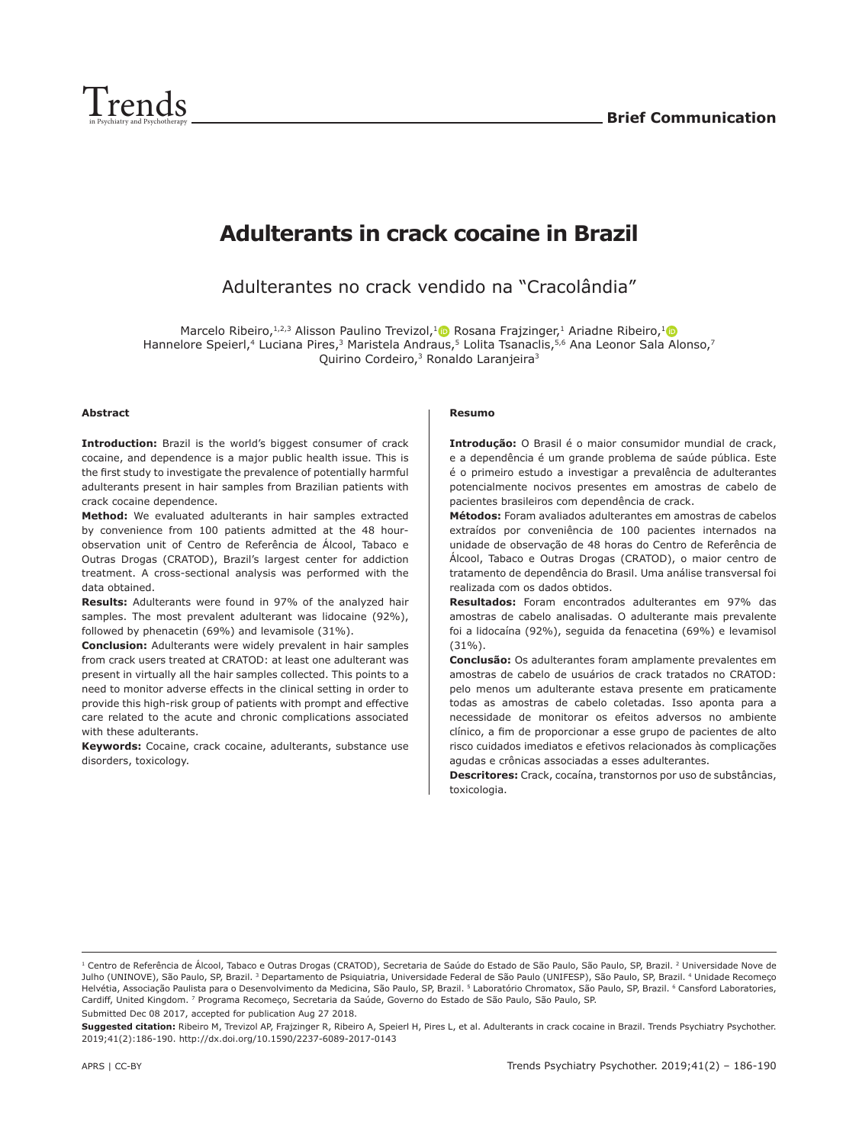

# **Adulterants in crack cocaine in Brazil**

Adulterantes no crack vendido na "Cracolândia"

Marcelo Ribeiro,  $1,2,3$  Alisson Paulino Trevizol,  $1 \bullet R$ osana Fraizinger, 1 Ariadne Ribeiro,  $1 \bullet R$ Hannelore Speierl,<sup>4</sup> Luciana Pires,<sup>3</sup> Maristela Andraus,<sup>5</sup> Lolita Tsanaclis,<sup>5,6</sup> Ana Leonor Sala Alonso,7 Quirino Cordeiro,<sup>3</sup> Ronaldo Laranjeira<sup>3</sup>

#### **Abstract**

**Introduction:** Brazil is the world's biggest consumer of crack cocaine, and dependence is a major public health issue. This is the first study to investigate the prevalence of potentially harmful adulterants present in hair samples from Brazilian patients with crack cocaine dependence.

**Method:** We evaluated adulterants in hair samples extracted by convenience from 100 patients admitted at the 48 hourobservation unit of Centro de Referência de Álcool, Tabaco e Outras Drogas (CRATOD), Brazil's largest center for addiction treatment. A cross-sectional analysis was performed with the data obtained.

**Results:** Adulterants were found in 97% of the analyzed hair samples. The most prevalent adulterant was lidocaine (92%), followed by phenacetin (69%) and levamisole (31%).

**Conclusion:** Adulterants were widely prevalent in hair samples from crack users treated at CRATOD: at least one adulterant was present in virtually all the hair samples collected. This points to a need to monitor adverse effects in the clinical setting in order to provide this high-risk group of patients with prompt and effective care related to the acute and chronic complications associated with these adulterants.

**Keywords:** Cocaine, crack cocaine, adulterants, substance use disorders, toxicology.

#### **Resumo**

**Introdução:** O Brasil é o maior consumidor mundial de crack, e a dependência é um grande problema de saúde pública. Este é o primeiro estudo a investigar a prevalência de adulterantes potencialmente nocivos presentes em amostras de cabelo de pacientes brasileiros com dependência de crack.

**Métodos:** Foram avaliados adulterantes em amostras de cabelos extraídos por conveniência de 100 pacientes internados na unidade de observação de 48 horas do Centro de Referência de Álcool, Tabaco e Outras Drogas (CRATOD), o maior centro de tratamento de dependência do Brasil. Uma análise transversal foi realizada com os dados obtidos.

**Resultados:** Foram encontrados adulterantes em 97% das amostras de cabelo analisadas. O adulterante mais prevalente foi a lidocaína (92%), seguida da fenacetina (69%) e levamisol  $(31\%)$ 

**Conclusão:** Os adulterantes foram amplamente prevalentes em amostras de cabelo de usuários de crack tratados no CRATOD: pelo menos um adulterante estava presente em praticamente todas as amostras de cabelo coletadas. Isso aponta para a necessidade de monitorar os efeitos adversos no ambiente clínico, a fim de proporcionar a esse grupo de pacientes de alto risco cuidados imediatos e efetivos relacionados às complicações agudas e crônicas associadas a esses adulterantes.

**Descritores:** Crack, cocaína, transtornos por uso de substâncias, toxicologia.

**Suggested citation:** Ribeiro M, Trevizol AP, Frajzinger R, Ribeiro A, Speierl H, Pires L, et al. Adulterants in crack cocaine in Brazil. Trends Psychiatry Psychother. 2019;41(2):186-190. http://dx.doi.org/10.1590/2237-6089-2017-0143

<sup>&</sup>lt;sup>1</sup> Centro de Referência de Álcool, Tabaco e Outras Drogas (CRATOD), Secretaria de Saúde do Estado de São Paulo, São Paulo, SP, Brazil. <sup>2</sup> Universidade Nove de Julho (UNINOVE), São Paulo, SP, Brazil. <sup>3</sup> Departamento de Psiquiatria, Universidade Federal de São Paulo (UNIFESP), São Paulo, SP, Brazil. <sup>4</sup> Unidade Recomeco Helvétia, Associação Paulista para o Desenvolvimento da Medicina, São Paulo, SP, Brazil. 5 Laboratório Chromatox, São Paulo, SP, Brazil. 6 Cansford Laboratories, Cardiff, United Kingdom. 7 Programa Recomeço, Secretaria da Saúde, Governo do Estado de São Paulo, São Paulo, SP. Submitted Dec 08 2017, accepted for publication Aug 27 2018.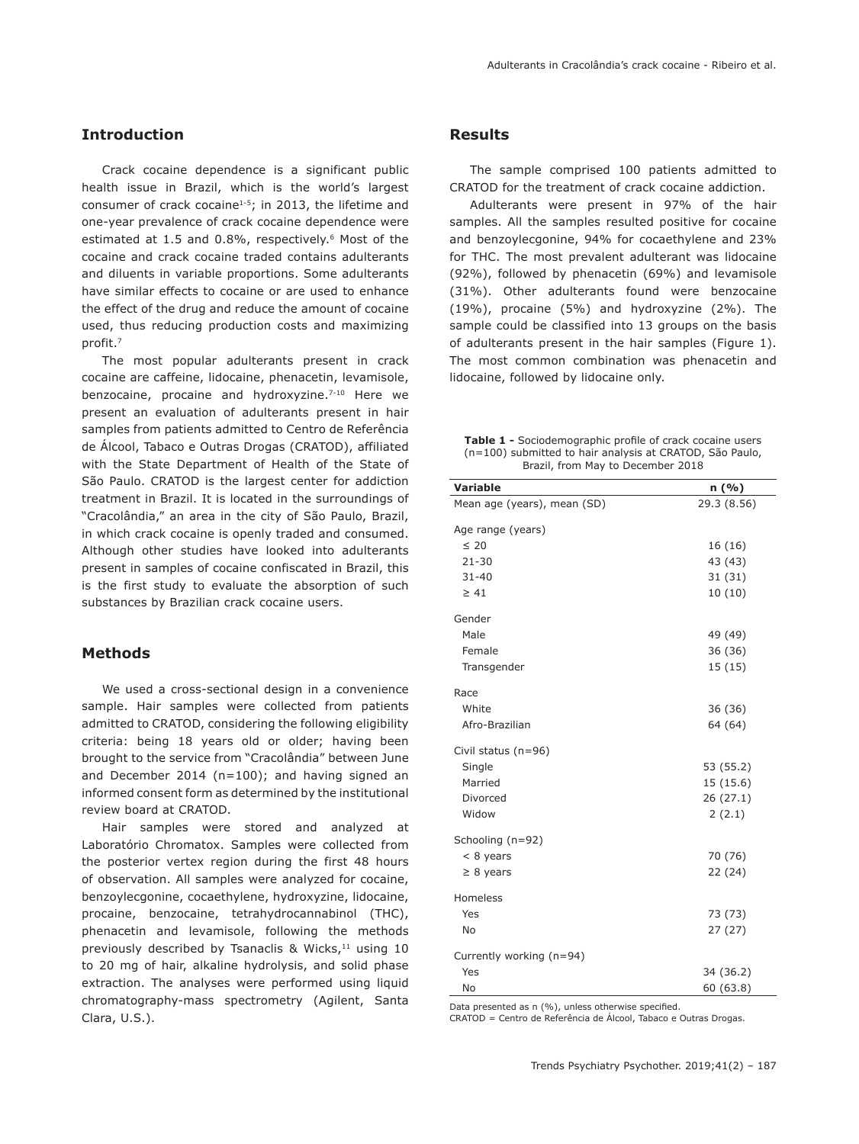# **Introduction**

Crack cocaine dependence is a significant public health issue in Brazil, which is the world's largest consumer of crack cocaine<sup>1-5</sup>; in 2013, the lifetime and one-year prevalence of crack cocaine dependence were estimated at 1.5 and 0.8%, respectively.<sup>6</sup> Most of the cocaine and crack cocaine traded contains adulterants and diluents in variable proportions. Some adulterants have similar effects to cocaine or are used to enhance the effect of the drug and reduce the amount of cocaine used, thus reducing production costs and maximizing profit.7

The most popular adulterants present in crack cocaine are caffeine, lidocaine, phenacetin, levamisole, benzocaine, procaine and hydroxyzine.<sup>7-10</sup> Here we present an evaluation of adulterants present in hair samples from patients admitted to Centro de Referência de Álcool, Tabaco e Outras Drogas (CRATOD), affiliated with the State Department of Health of the State of São Paulo. CRATOD is the largest center for addiction treatment in Brazil. It is located in the surroundings of "Cracolândia," an area in the city of São Paulo, Brazil, in which crack cocaine is openly traded and consumed. Although other studies have looked into adulterants present in samples of cocaine confiscated in Brazil, this is the first study to evaluate the absorption of such substances by Brazilian crack cocaine users.

### **Methods**

We used a cross-sectional design in a convenience sample. Hair samples were collected from patients admitted to CRATOD, considering the following eligibility criteria: being 18 years old or older; having been brought to the service from "Cracolândia" between June and December 2014 (n=100); and having signed an informed consent form as determined by the institutional review board at CRATOD.

Hair samples were stored and analyzed at Laboratório Chromatox. Samples were collected from the posterior vertex region during the first 48 hours of observation. All samples were analyzed for cocaine, benzoylecgonine, cocaethylene, hydroxyzine, lidocaine, procaine, benzocaine, tetrahydrocannabinol (THC), phenacetin and levamisole, following the methods previously described by Tsanaclis & Wicks,<sup>11</sup> using 10 to 20 mg of hair, alkaline hydrolysis, and solid phase extraction. The analyses were performed using liquid chromatography-mass spectrometry (Agilent, Santa Clara, U.S.).

## **Results**

The sample comprised 100 patients admitted to CRATOD for the treatment of crack cocaine addiction.

Adulterants were present in 97% of the hair samples. All the samples resulted positive for cocaine and benzoylecgonine, 94% for cocaethylene and 23% for THC. The most prevalent adulterant was lidocaine (92%), followed by phenacetin (69%) and levamisole (31%). Other adulterants found were benzocaine (19%), procaine (5%) and hydroxyzine (2%). The sample could be classified into 13 groups on the basis of adulterants present in the hair samples (Figure 1). The most common combination was phenacetin and lidocaine, followed by lidocaine only.

| <b>Table 1 -</b> Sociodemographic profile of crack cocaine users |
|------------------------------------------------------------------|
| (n=100) submitted to hair analysis at CRATOD, São Paulo,         |
| Brazil, from May to December 2018                                |

| <b>Variable</b>             | n (%)       |
|-----------------------------|-------------|
| Mean age (years), mean (SD) | 29.3 (8.56) |
| Age range (years)           |             |
| $\leq 20$                   | 16 (16)     |
| $21 - 30$                   | 43 (43)     |
| $31 - 40$                   | 31(31)      |
| $\geq 41$                   | 10(10)      |
| Gender                      |             |
| Male                        | 49 (49)     |
| Female                      | 36 (36)     |
| Transgender                 | 15 (15)     |
|                             |             |
| Race                        |             |
| White                       | 36 (36)     |
| Afro-Brazilian              | 64 (64)     |
| Civil status (n=96)         |             |
| Single                      | 53 (55.2)   |
| Married                     | 15 (15.6)   |
| Divorced                    | 26(27.1)    |
| Widow                       | 2(2.1)      |
| Schooling (n=92)            |             |
| $<$ 8 years                 | 70 (76)     |
| $\geq 8$ years              | 22 (24)     |
| Homeless                    |             |
| Yes                         | 73 (73)     |
| <b>No</b>                   | 27 (27)     |
|                             |             |
| Currently working (n=94)    |             |
| Yes                         | 34 (36.2)   |
| <b>No</b>                   | 60 (63.8)   |

Data presented as n (%), unless otherwise specified.

CRATOD = Centro de Referência de Álcool, Tabaco e Outras Drogas.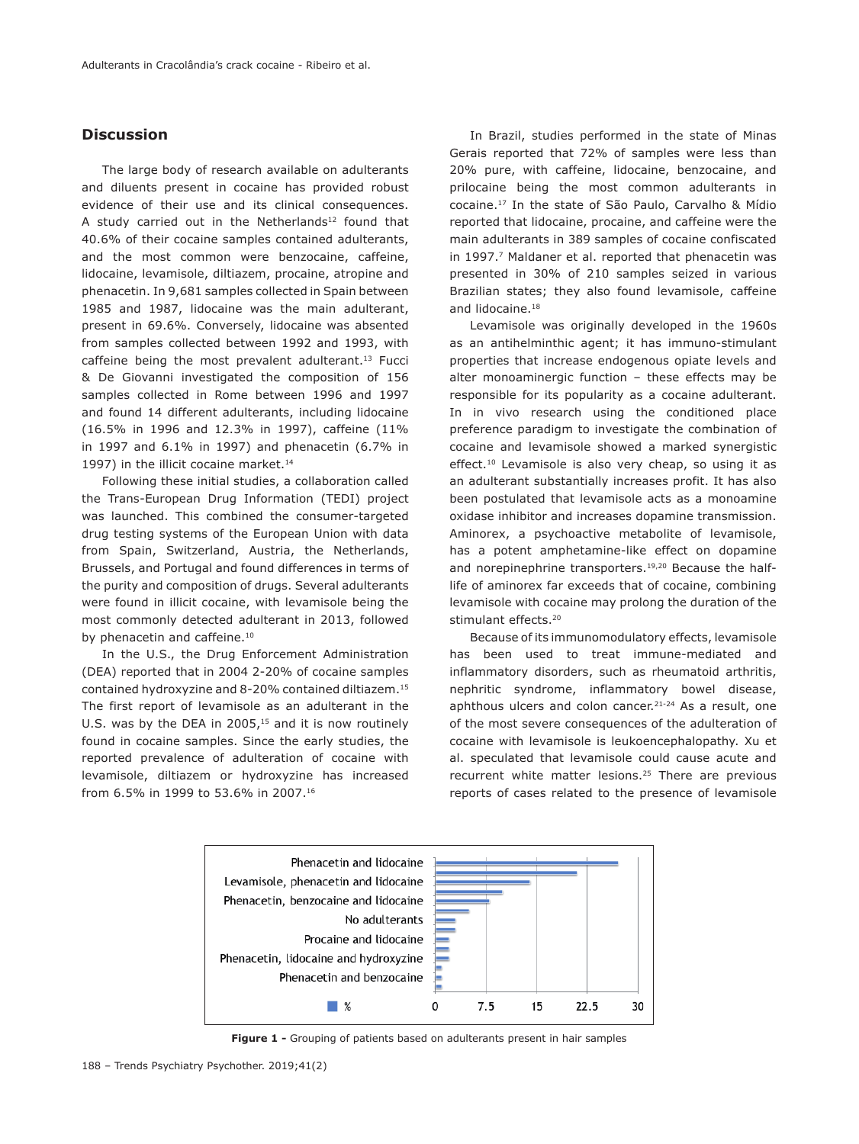# **Discussion**

The large body of research available on adulterants and diluents present in cocaine has provided robust evidence of their use and its clinical consequences. A study carried out in the Netherlands $12$  found that 40.6% of their cocaine samples contained adulterants, and the most common were benzocaine, caffeine, lidocaine, levamisole, diltiazem, procaine, atropine and phenacetin. In 9,681 samples collected in Spain between 1985 and 1987, lidocaine was the main adulterant, present in 69.6%. Conversely, lidocaine was absented from samples collected between 1992 and 1993, with caffeine being the most prevalent adulterant.13 Fucci & De Giovanni investigated the composition of 156 samples collected in Rome between 1996 and 1997 and found 14 different adulterants, including lidocaine (16.5% in 1996 and 12.3% in 1997), caffeine (11% in 1997 and 6.1% in 1997) and phenacetin (6.7% in 1997) in the illicit cocaine market.<sup>14</sup>

Following these initial studies, a collaboration called the Trans-European Drug Information (TEDI) project was launched. This combined the consumer-targeted drug testing systems of the European Union with data from Spain, Switzerland, Austria, the Netherlands, Brussels, and Portugal and found differences in terms of the purity and composition of drugs. Several adulterants were found in illicit cocaine, with levamisole being the most commonly detected adulterant in 2013, followed by phenacetin and caffeine.<sup>10</sup>

In the U.S., the Drug Enforcement Administration (DEA) reported that in 2004 2-20% of cocaine samples contained hydroxyzine and 8-20% contained diltiazem.15 The first report of levamisole as an adulterant in the U.S. was by the DEA in  $2005<sub>15</sub>$  and it is now routinely found in cocaine samples. Since the early studies, the reported prevalence of adulteration of cocaine with levamisole, diltiazem or hydroxyzine has increased from 6.5% in 1999 to 53.6% in 2007.16

In Brazil, studies performed in the state of Minas Gerais reported that 72% of samples were less than 20% pure, with caffeine, lidocaine, benzocaine, and prilocaine being the most common adulterants in cocaine.17 In the state of São Paulo, Carvalho & Mídio reported that lidocaine, procaine, and caffeine were the main adulterants in 389 samples of cocaine confiscated in 1997.<sup>7</sup> Maldaner et al. reported that phenacetin was presented in 30% of 210 samples seized in various Brazilian states; they also found levamisole, caffeine and lidocaine.<sup>18</sup>

Levamisole was originally developed in the 1960s as an antihelminthic agent; it has immuno-stimulant properties that increase endogenous opiate levels and alter monoaminergic function – these effects may be responsible for its popularity as a cocaine adulterant. In in vivo research using the conditioned place preference paradigm to investigate the combination of cocaine and levamisole showed a marked synergistic effect.<sup>10</sup> Levamisole is also very cheap, so using it as an adulterant substantially increases profit. It has also been postulated that levamisole acts as a monoamine oxidase inhibitor and increases dopamine transmission. Aminorex, a psychoactive metabolite of levamisole, has a potent amphetamine-like effect on dopamine and norepinephrine transporters.19,20 Because the halflife of aminorex far exceeds that of cocaine, combining levamisole with cocaine may prolong the duration of the stimulant effects.20

Because of its immunomodulatory effects, levamisole has been used to treat immune-mediated and inflammatory disorders, such as rheumatoid arthritis, nephritic syndrome, inflammatory bowel disease, aphthous ulcers and colon cancer.<sup>21-24</sup> As a result, one of the most severe consequences of the adulteration of cocaine with levamisole is leukoencephalopathy. Xu et al. speculated that levamisole could cause acute and recurrent white matter lesions.<sup>25</sup> There are previous reports of cases related to the presence of levamisole



**Figure 1 -** Grouping of patients based on adulterants present in hair samples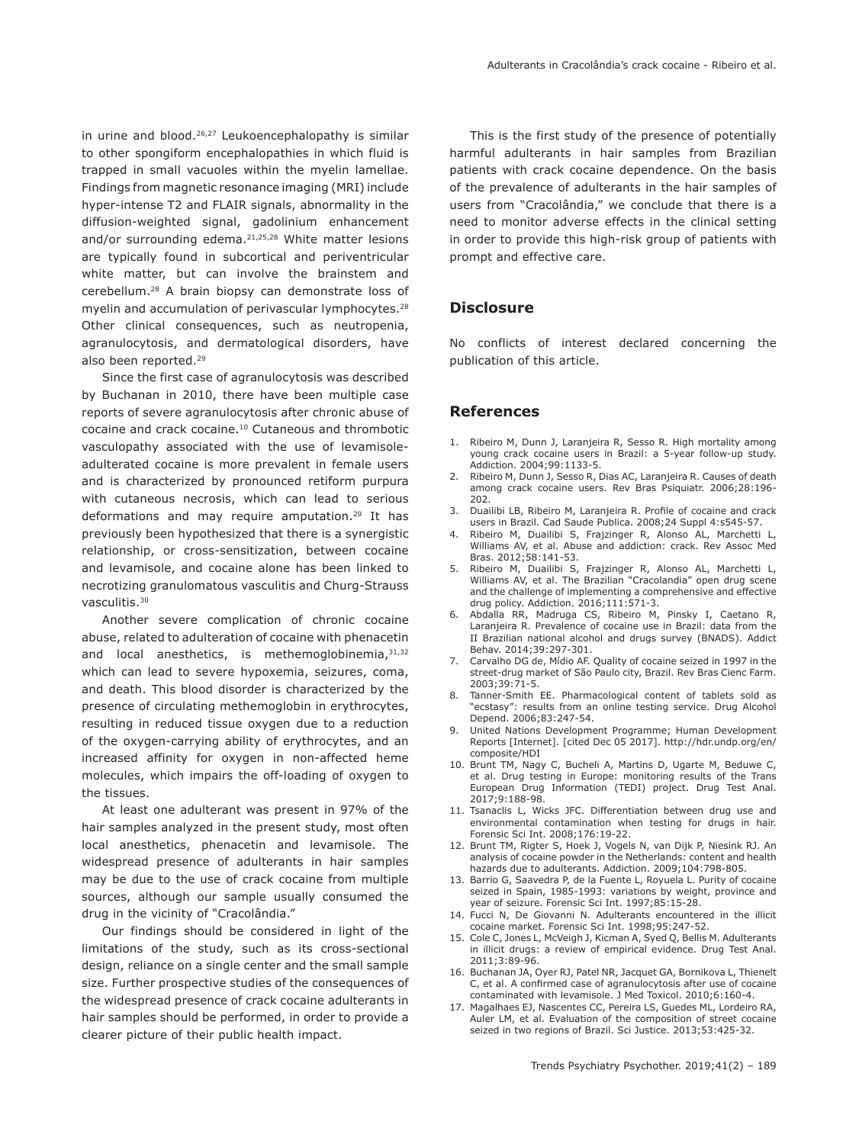in urine and blood.<sup>26,27</sup> Leukoencephalopathy is similar to other spongiform encephalopathies in which fluid is trapped in small vacuoles within the myelin lamellae. Findings from magnetic resonance imaging (MRI) include hyper-intense T2 and FLAIR signals, abnormality in the diffusion-weighted signal, gadolinium enhancement and/or surrounding edema.<sup>21,25,28</sup> White matter lesions are typically found in subcortical and periventricular white matter, but can involve the brainstem and cerebellum.28 A brain biopsy can demonstrate loss of myelin and accumulation of perivascular lymphocytes.<sup>28</sup> Other clinical consequences, such as neutropenia, agranulocytosis, and dermatological disorders, have also been reported.29

Since the first case of agranulocytosis was described by Buchanan in 2010, there have been multiple case reports of severe agranulocytosis after chronic abuse of cocaine and crack cocaine.10 Cutaneous and thrombotic vasculopathy associated with the use of levamisoleadulterated cocaine is more prevalent in female users and is characterized by pronounced retiform purpura with cutaneous necrosis, which can lead to serious deformations and may require amputation.29 It has previously been hypothesized that there is a synergistic relationship, or cross-sensitization, between cocaine and levamisole, and cocaine alone has been linked to necrotizing granulomatous vasculitis and Churg-Strauss vasculitis.30

Another severe complication of chronic cocaine abuse, related to adulteration of cocaine with phenacetin and local anesthetics, is methemoglobinemia, 31,32 which can lead to severe hypoxemia, seizures, coma, and death. This blood disorder is characterized by the presence of circulating methemoglobin in erythrocytes, resulting in reduced tissue oxygen due to a reduction of the oxygen-carrying ability of erythrocytes, and an increased affinity for oxygen in non-affected heme molecules, which impairs the off-loading of oxygen to the tissues.

At least one adulterant was present in 97% of the hair samples analyzed in the present study, most often local anesthetics, phenacetin and levamisole. The widespread presence of adulterants in hair samples may be due to the use of crack cocaine from multiple sources, although our sample usually consumed the drug in the vicinity of "Cracolândia."

Our findings should be considered in light of the limitations of the study, such as its cross-sectional design, reliance on a single center and the small sample size. Further prospective studies of the consequences of the widespread presence of crack cocaine adulterants in hair samples should be performed, in order to provide a clearer picture of their public health impact.

This is the first study of the presence of potentially harmful adulterants in hair samples from Brazilian patients with crack cocaine dependence. On the basis of the prevalence of adulterants in the hair samples of users from "Cracolândia," we conclude that there is a need to monitor adverse effects in the clinical setting in order to provide this high-risk group of patients with prompt and effective care.

#### **Disclosure**

No conflicts of interest declared concerning the publication of this article.

#### **References**

- 1. Ribeiro M, Dunn J, Laranjeira R, Sesso R. High mortality among young crack cocaine users in Brazil: a 5-year follow-up study. Addiction. 2004;99:1133-5.
- 2. Ribeiro M, Dunn J, Sesso R, Dias AC, Laranjeira R. Causes of death among crack cocaine users. Rev Bras Psiquiatr. 2006;28:196- 202.
- 3. Duailibi LB, Ribeiro M, Laranjeira R. Profile of cocaine and crack users in Brazil. Cad Saude Publica. 2008;24 Suppl 4:s545-57.
- 4. Ribeiro M, Duailibi S, Frajzinger R, Alonso AL, Marchetti L Williams AV, et al. Abuse and addiction: crack. Rev Assoc Med Bras. 2012;58:141-53.
- 5. Ribeiro M, Duailibi S, Frajzinger R, Alonso AL, Marchetti L, Williams AV, et al. The Brazilian "Cracolandia" open drug scene and the challenge of implementing a comprehensive and effective drug policy. Addiction. 2016;111:571-3.
- 6. Abdalla RR, Madruga CS, Ribeiro M, Pinsky I, Caetano R, Laranjeira R. Prevalence of cocaine use in Brazil: data from the II Brazilian national alcohol and drugs survey (BNADS). Addict Behav. 2014;39:297-301.
- 7. Carvalho DG de, Mídio AF. Quality of cocaine seized in 1997 in the street-drug market of São Paulo city, Brazil. Rev Bras Cienc Farm. 2003;39:71-5.
- 8. Tanner-Smith EE. Pharmacological content of tablets sold as "ecstasy": results from an online testing service. Drug Alcohol Depend. 2006;83:247-54.
- 9. United Nations Development Programme; Human Development Reports [Internet]. [cited Dec 05 2017]. http://hdr.undp.org/en/ composite/HDI
- 10. Brunt TM, Nagy C, Bucheli A, Martins D, Ugarte M, Beduwe C, et al. Drug testing in Europe: monitoring results of the Trans European Drug Information (TEDI) project. Drug Test Anal. 2017;9:188-98.
- 11. Tsanaclis L, Wicks JFC. Differentiation between drug use and environmental contamination when testing for drugs in hair. Forensic Sci Int. 2008;176:19-22.
- 12. Brunt TM, Rigter S, Hoek J, Vogels N, van Dijk P, Niesink RJ. An analysis of cocaine powder in the Netherlands: content and health hazards due to adulterants. Addiction. 2009;104:798-805.
- 13. Barrio G, Saavedra P, de la Fuente L, Royuela L. Purity of cocaine seized in Spain, 1985-1993: variations by weight, province and year of seizure. Forensic Sci Int. 1997;85:15-28.
- 14. Fucci N, De Giovanni N. Adulterants encountered in the illicit cocaine market. Forensic Sci Int. 1998;95:247-52.
- 15. Cole C, Jones L, McVeigh J, Kicman A, Syed Q, Bellis M. Adulterants in illicit drugs: a review of empirical evidence. Drug Test Anal. 2011;3:89-96.
- 16. Buchanan JA, Oyer RJ, Patel NR, Jacquet GA, Bornikova L, Thienelt C, et al. A confirmed case of agranulocytosis after use of cocaine contaminated with levamisole. J Med Toxicol. 2010;6:160-4.
- 17. Magalhaes EJ, Nascentes CC, Pereira LS, Guedes ML, Lordeiro RA, Auler LM, et al. Evaluation of the composition of street cocaine seized in two regions of Brazil. Sci Justice. 2013;53:425-32.